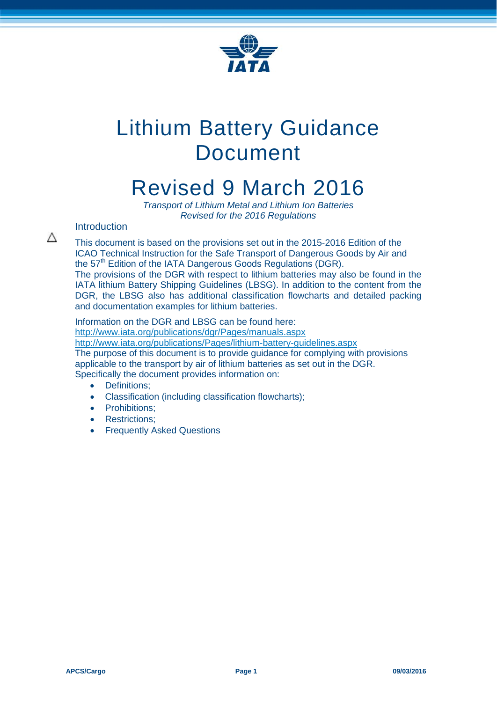

# Lithium Battery Guidance Document

# Revised 9 March 2016

*Transport of Lithium Metal and Lithium Ion Batteries Revised for the 2016 Regulations*

# Introduction

Λ

This document is based on the provisions set out in the 2015-2016 Edition of the ICAO Technical Instruction for the Safe Transport of Dangerous Goods by Air and the 57<sup>th</sup> Edition of the IATA Dangerous Goods Regulations (DGR). The provisions of the DGR with respect to lithium batteries may also be found in the IATA lithium Battery Shipping Guidelines (LBSG). In addition to the content from the DGR, the LBSG also has additional classification flowcharts and detailed packing and documentation examples for lithium batteries.

Information on the DGR and LBSG can be found here: <http://www.iata.org/publications/dgr/Pages/manuals.aspx> <http://www.iata.org/publications/Pages/lithium-battery-guidelines.aspx> The purpose of this document is to provide guidance for complying with provisions applicable to the transport by air of lithium batteries as set out in the DGR. Specifically the document provides information on:

- Definitions:
- Classification (including classification flowcharts);
- Prohibitions:
- Restrictions:
- Frequently Asked Questions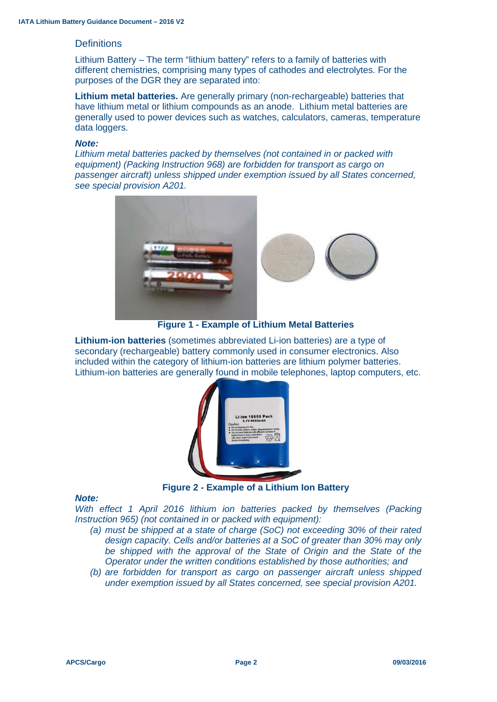#### **Definitions**

Lithium Battery – The term "lithium battery" refers to a family of batteries with different chemistries, comprising many types of cathodes and electrolytes. For the purposes of the DGR they are separated into:

**Lithium metal batteries.** Are generally primary (non-rechargeable) batteries that have lithium metal or lithium compounds as an anode. Lithium metal batteries are generally used to power devices such as watches, calculators, cameras, temperature data loggers.

#### *Note:*

*Lithium metal batteries packed by themselves (not contained in or packed with equipment) (Packing Instruction 968) are forbidden for transport as cargo on passenger aircraft) unless shipped under exemption issued by all States concerned, see special provision A201.*



**Figure 1 - Example of Lithium Metal Batteries**

**Lithium-ion batteries** (sometimes abbreviated Li-ion batteries) are a type of secondary (rechargeable) battery commonly used in consumer electronics. Also included within the category of lithium-ion batteries are lithium polymer batteries. Lithium-ion batteries are generally found in mobile telephones, laptop computers, etc.



**Figure 2 - Example of a Lithium Ion Battery**

#### *Note:*

*With effect 1 April 2016 lithium ion batteries packed by themselves (Packing Instruction 965) (not contained in or packed with equipment):*

- *(a) must be shipped at a state of charge (SoC) not exceeding 30% of their rated design capacity. Cells and/or batteries at a SoC of greater than 30% may only*  be shipped with the approval of the State of Origin and the State of the *Operator under the written conditions established by those authorities; and*
- *(b) are forbidden for transport as cargo on passenger aircraft unless shipped under exemption issued by all States concerned, see special provision A201.*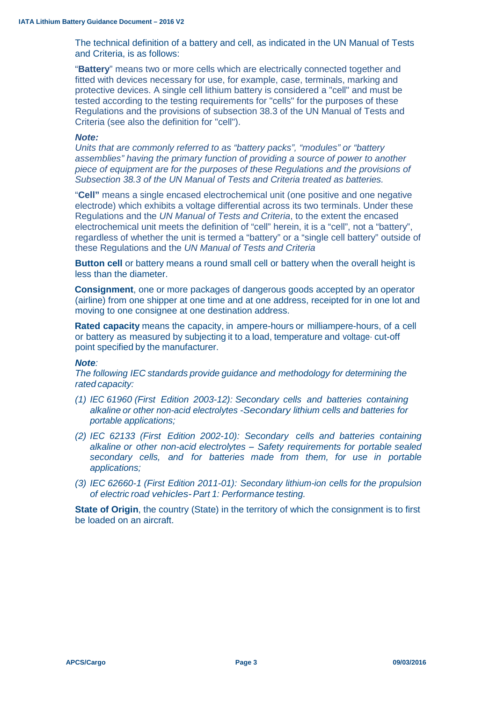The technical definition of a battery and cell, as indicated in the UN Manual of Tests and Criteria, is as follows:

"**Battery**" means two or more cells which are electrically connected together and fitted with devices necessary for use, for example, case, terminals, marking and protective devices. A single cell lithium battery is considered a "cell" and must be tested according to the testing requirements for "cells" for the purposes of these Regulations and the provisions of subsection 38.3 of the UN Manual of Tests and Criteria (see also the definition for "cell").

#### *Note:*

*Units that are commonly referred to as "battery packs", "modules" or "battery assemblies" having the primary function of providing a source of power to another piece of equipment are for the purposes of these Regulations and the provisions of Subsection 38.3 of the UN Manual of Tests and Criteria treated as batteries.*

"**Cell"** means a single encased electrochemical unit (one positive and one negative electrode) which exhibits a voltage differential across its two terminals. Under these Regulations and the *UN Manual of Tests and Criteria*, to the extent the encased electrochemical unit meets the definition of "cell" herein, it is a "cell", not a "battery", regardless of whether the unit is termed a "battery" or a "single cell battery" outside of these Regulations and the *UN Manual of Tests and Criteria*

**Button cell** or battery means a round small cell or battery when the overall height is less than the diameter.

**Consignment**, one or more packages of dangerous goods accepted by an operator (airline) from one shipper at one time and at one address, receipted for in one lot and moving to one consignee at one destination address.

**Rated capacity** means the capacity, in ampere-hours or milliampere-hours, of a cell or battery as measured by subjecting it to a load, temperature and voltage· cut-off point specified by the manufacturer.

#### *Note:*

*The following IEC standards provide guidance and methodology for determining the rated capacity:* 

- *(1) IEC 61960 (First Edition 2003-12): Secondary cells and batteries containing alkaline or other non-acid electrolytes -Secondary lithium cells and batteries for portable applications;*
- *(2) IEC 62133 (First Edition 2002-10): Secondary cells and batteries containing alkaline or other non-acid electrolytes* - *Safety requirements for portable sealed secondary cells, and for batteries made from them, for use in portable applications;*
- *(3) IEC 62660-1 (First Edition 2011-01): Secondary lithium-ion cells for the propulsion of electric road vehicles-Part 1: Performance testing.*

**State of Origin**, the country (State) in the territory of which the consignment is to first be loaded on an aircraft.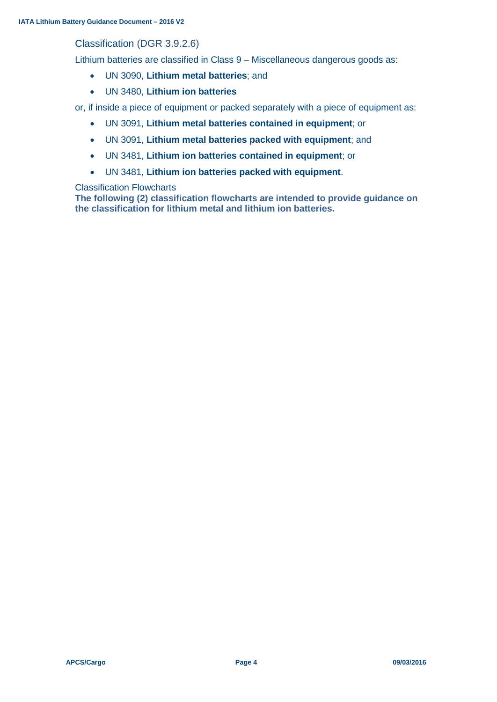# Classification (DGR 3.9.2.6)

Lithium batteries are classified in Class 9 – Miscellaneous dangerous goods as:

- UN 3090, **Lithium metal batteries**; and
- UN 3480, **Lithium ion batteries**

or, if inside a piece of equipment or packed separately with a piece of equipment as:

- UN 3091, **Lithium metal batteries contained in equipment**; or
- UN 3091, **Lithium metal batteries packed with equipment**; and
- UN 3481, **Lithium ion batteries contained in equipment**; or
- UN 3481, **Lithium ion batteries packed with equipment**.

#### Classification Flowcharts

**The following (2) classification flowcharts are intended to provide guidance on the classification for lithium metal and lithium ion batteries.**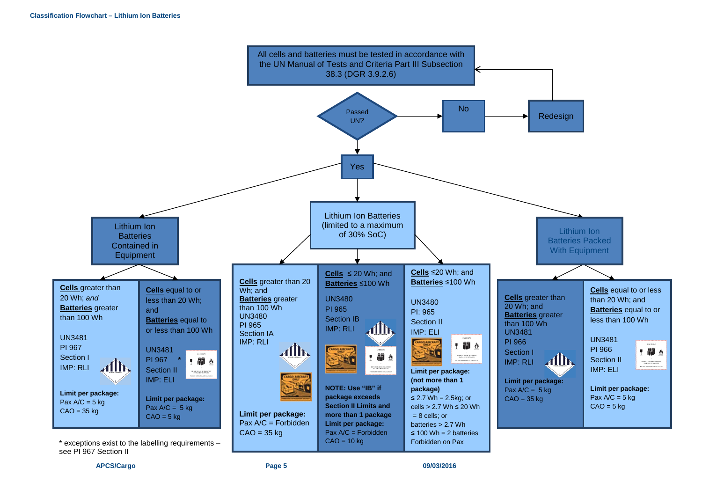

**APCS/Cargo Page 5 09/03/2016**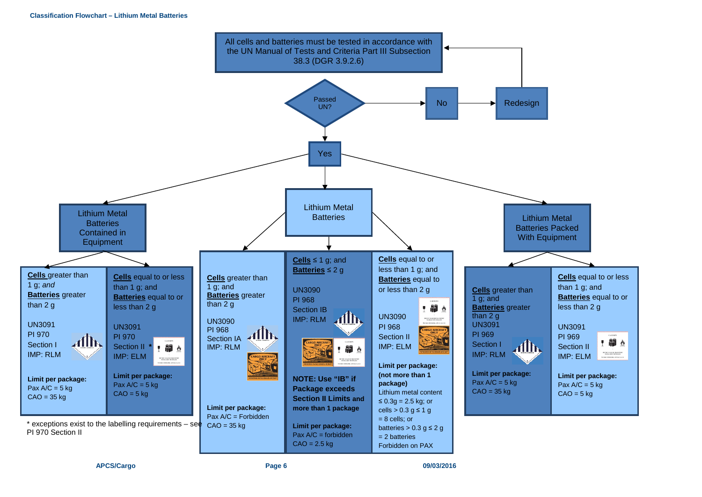#### **Classification Flowchart – Lithium Metal Batteries**



**APCS/Cargo Page 6 09/03/2016**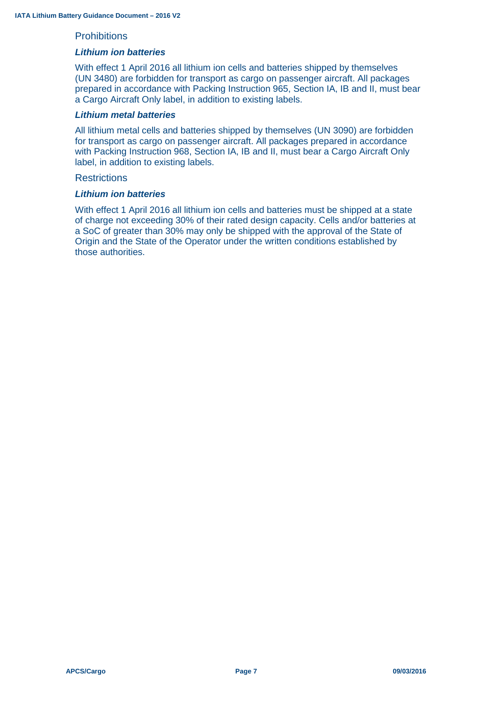#### **Prohibitions**

#### *Lithium ion batteries*

With effect 1 April 2016 all lithium ion cells and batteries shipped by themselves (UN 3480) are forbidden for transport as cargo on passenger aircraft. All packages prepared in accordance with Packing Instruction 965, Section IA, IB and II, must bear a Cargo Aircraft Only label, in addition to existing labels.

#### *Lithium metal batteries*

All lithium metal cells and batteries shipped by themselves (UN 3090) are forbidden for transport as cargo on passenger aircraft. All packages prepared in accordance with Packing Instruction 968, Section IA, IB and II, must bear a Cargo Aircraft Only label, in addition to existing labels.

#### **Restrictions**

#### *Lithium ion batteries*

With effect 1 April 2016 all lithium ion cells and batteries must be shipped at a state of charge not exceeding 30% of their rated design capacity. Cells and/or batteries at a SoC of greater than 30% may only be shipped with the approval of the State of Origin and the State of the Operator under the written conditions established by those authorities.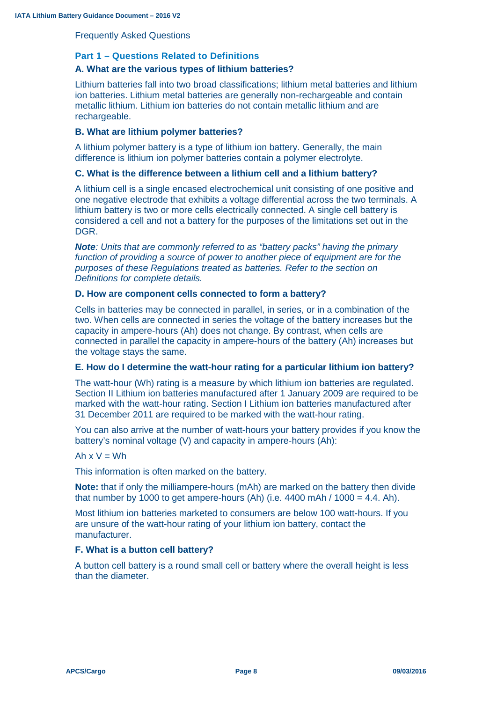Frequently Asked Questions

## **Part 1 – Questions Related to Definitions**

# **A. What are the various types of lithium batteries?**

Lithium batteries fall into two broad classifications; lithium metal batteries and lithium ion batteries. Lithium metal batteries are generally non-rechargeable and contain metallic lithium. Lithium ion batteries do not contain metallic lithium and are rechargeable.

#### **B. What are lithium polymer batteries?**

A lithium polymer battery is a type of lithium ion battery. Generally, the main difference is lithium ion polymer batteries contain a polymer electrolyte.

#### **C. What is the difference between a lithium cell and a lithium battery?**

A lithium cell is a single encased electrochemical unit consisting of one positive and one negative electrode that exhibits a voltage differential across the two terminals. A lithium battery is two or more cells electrically connected. A single cell battery is considered a cell and not a battery for the purposes of the limitations set out in the DGR.

*Note: Units that are commonly referred to as "battery packs" having the primary function of providing a source of power to another piece of equipment are for the purposes of these Regulations treated as batteries. Refer to the section on Definitions for complete details.*

#### **D. How are component cells connected to form a battery?**

Cells in batteries may be connected in parallel, in series, or in a combination of the two. When cells are connected in series the voltage of the battery increases but the capacity in ampere-hours (Ah) does not change. By contrast, when cells are connected in parallel the capacity in ampere-hours of the battery (Ah) increases but the voltage stays the same.

#### **E. How do I determine the watt-hour rating for a particular lithium ion battery?**

The watt-hour (Wh) rating is a measure by which lithium ion batteries are regulated. Section II Lithium ion batteries manufactured after 1 January 2009 are required to be marked with the watt-hour rating. Section I Lithium ion batteries manufactured after 31 December 2011 are required to be marked with the watt-hour rating.

You can also arrive at the number of watt-hours your battery provides if you know the battery's nominal voltage (V) and capacity in ampere-hours (Ah):

#### Ah  $x V = Wh$

This information is often marked on the battery.

**Note:** that if only the milliampere-hours (mAh) are marked on the battery then divide that number by 1000 to get ampere-hours (Ah) (i.e.  $4400$  mAh /  $1000 = 4.4$ . Ah).

Most lithium ion batteries marketed to consumers are below 100 watt-hours. If you are unsure of the watt-hour rating of your lithium ion battery, contact the manufacturer.

#### **F. What is a button cell battery?**

A button cell battery is a round small cell or battery where the overall height is less than the diameter.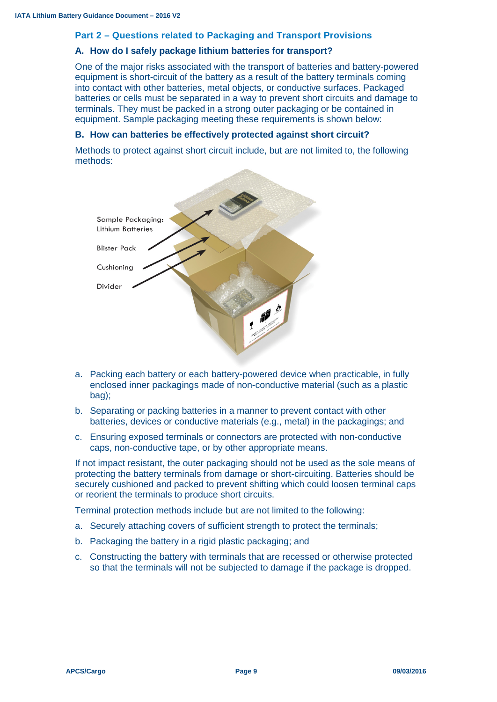#### **Part 2 – Questions related to Packaging and Transport Provisions**

#### **A. How do I safely package lithium batteries for transport?**

One of the major risks associated with the transport of batteries and battery-powered equipment is short-circuit of the battery as a result of the battery terminals coming into contact with other batteries, metal objects, or conductive surfaces. Packaged batteries or cells must be separated in a way to prevent short circuits and damage to terminals. They must be packed in a strong outer packaging or be contained in equipment. Sample packaging meeting these requirements is shown below:

#### **B. How can batteries be effectively protected against short circuit?**

Methods to protect against short circuit include, but are not limited to, the following methods:



- a. Packing each battery or each battery-powered device when practicable, in fully enclosed inner packagings made of non-conductive material (such as a plastic bag);
- b. Separating or packing batteries in a manner to prevent contact with other batteries, devices or conductive materials (e.g., metal) in the packagings; and
- c. Ensuring exposed terminals or connectors are protected with non-conductive caps, non-conductive tape, or by other appropriate means.

If not impact resistant, the outer packaging should not be used as the sole means of protecting the battery terminals from damage or short-circuiting. Batteries should be securely cushioned and packed to prevent shifting which could loosen terminal caps or reorient the terminals to produce short circuits.

Terminal protection methods include but are not limited to the following:

- a. Securely attaching covers of sufficient strength to protect the terminals;
- b. Packaging the battery in a rigid plastic packaging; and
- c. Constructing the battery with terminals that are recessed or otherwise protected so that the terminals will not be subjected to damage if the package is dropped.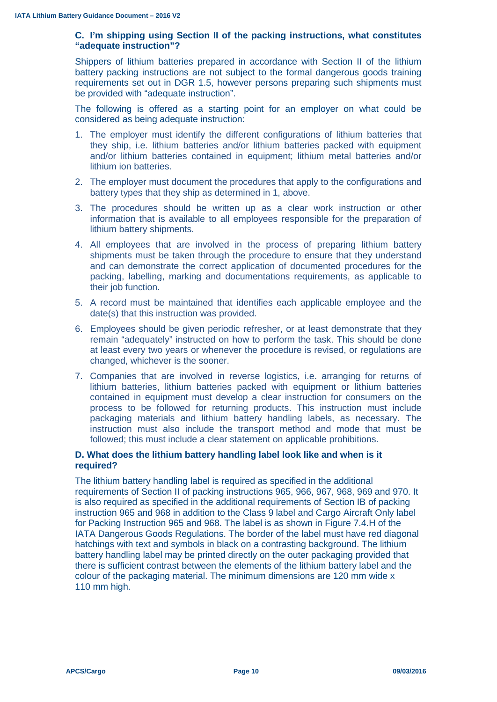#### **C. I'm shipping using Section II of the packing instructions, what constitutes "adequate instruction"?**

Shippers of lithium batteries prepared in accordance with Section II of the lithium battery packing instructions are not subject to the formal dangerous goods training requirements set out in DGR 1.5, however persons preparing such shipments must be provided with "adequate instruction".

The following is offered as a starting point for an employer on what could be considered as being adequate instruction:

- 1. The employer must identify the different configurations of lithium batteries that they ship, i.e. lithium batteries and/or lithium batteries packed with equipment and/or lithium batteries contained in equipment; lithium metal batteries and/or lithium ion batteries.
- 2. The employer must document the procedures that apply to the configurations and battery types that they ship as determined in 1, above.
- 3. The procedures should be written up as a clear work instruction or other information that is available to all employees responsible for the preparation of lithium battery shipments.
- 4. All employees that are involved in the process of preparing lithium battery shipments must be taken through the procedure to ensure that they understand and can demonstrate the correct application of documented procedures for the packing, labelling, marking and documentations requirements, as applicable to their job function.
- 5. A record must be maintained that identifies each applicable employee and the date(s) that this instruction was provided.
- 6. Employees should be given periodic refresher, or at least demonstrate that they remain "adequately" instructed on how to perform the task. This should be done at least every two years or whenever the procedure is revised, or regulations are changed, whichever is the sooner.
- 7. Companies that are involved in reverse logistics, i.e. arranging for returns of lithium batteries, lithium batteries packed with equipment or lithium batteries contained in equipment must develop a clear instruction for consumers on the process to be followed for returning products. This instruction must include packaging materials and lithium battery handling labels, as necessary. The instruction must also include the transport method and mode that must be followed; this must include a clear statement on applicable prohibitions.

#### **D. What does the lithium battery handling label look like and when is it required?**

The lithium battery handling label is required as specified in the additional requirements of Section II of packing instructions 965, 966, 967, 968, 969 and 970. It is also required as specified in the additional requirements of Section IB of packing instruction 965 and 968 in addition to the Class 9 label and Cargo Aircraft Only label for Packing Instruction 965 and 968. The label is as shown in Figure 7.4.H of the IATA Dangerous Goods Regulations. The border of the label must have red diagonal hatchings with text and symbols in black on a contrasting background. The lithium battery handling label may be printed directly on the outer packaging provided that there is sufficient contrast between the elements of the lithium battery label and the colour of the packaging material. The minimum dimensions are 120 mm wide x 110 mm high.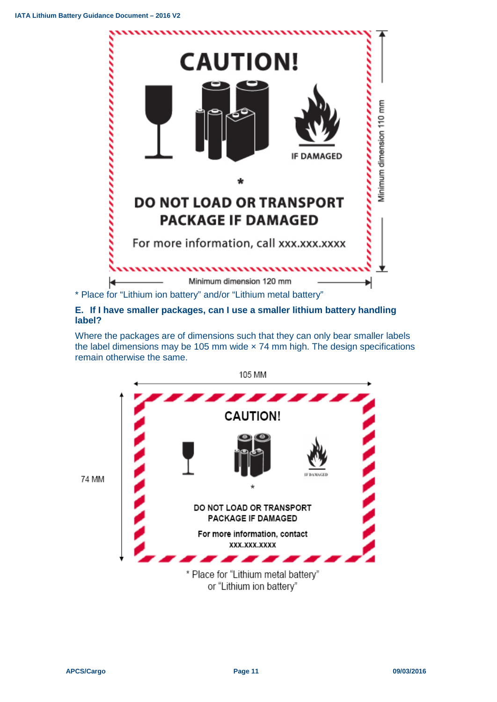

#### **E. If I have smaller packages, can I use a smaller lithium battery handling label?**

Where the packages are of dimensions such that they can only bear smaller labels the label dimensions may be 105 mm wide × 74 mm high. The design specifications remain otherwise the same.

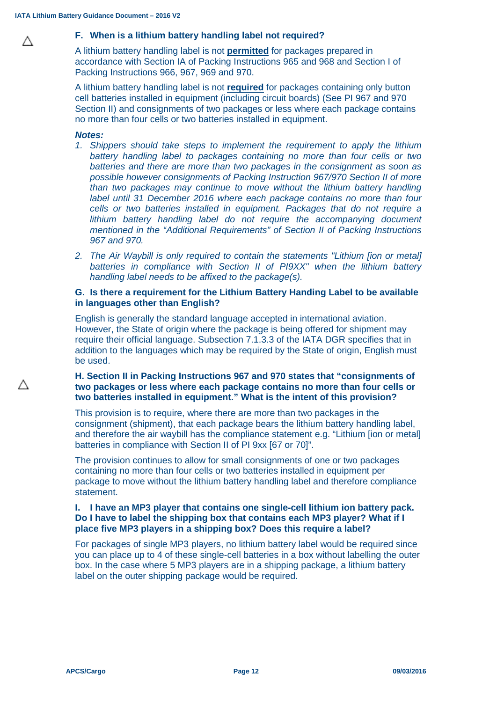Λ

Δ

#### **F. When is a lithium battery handling label not required?**

A lithium battery handling label is not **permitted** for packages prepared in accordance with Section IA of Packing Instructions 965 and 968 and Section I of Packing Instructions 966, 967, 969 and 970.

A lithium battery handling label is not **required** for packages containing only button cell batteries installed in equipment (including circuit boards) (See PI 967 and 970 Section II) and consignments of two packages or less where each package contains no more than four cells or two batteries installed in equipment.

#### *Notes:*

- *1. Shippers should take steps to implement the requirement to apply the lithium battery handling label to packages containing no more than four cells or two batteries and there are more than two packages in the consignment as soon as possible however consignments of Packing Instruction 967/970 Section II of more than two packages may continue to move without the lithium battery handling label until 31 December 2016 where each package contains no more than four cells or two batteries installed in equipment. Packages that do not require a lithium battery handling label do not require the accompanying document mentioned in the "Additional Requirements" of Section II of Packing Instructions 967 and 970.*
- *2. The Air Waybill is only required to contain the statements "Lithium [ion or metal]*  batteries in compliance with Section II of PI9XX" when the lithium battery *handling label needs to be affixed to the package(s).*

#### **G. Is there a requirement for the Lithium Battery Handing Label to be available in languages other than English?**

English is generally the standard language accepted in international aviation. However, the State of origin where the package is being offered for shipment may require their official language. Subsection 7.1.3.3 of the IATA DGR specifies that in addition to the languages which may be required by the State of origin, English must be used.

#### **H. Section II in Packing Instructions 967 and 970 states that "consignments of two packages or less where each package contains no more than four cells or two batteries installed in equipment." What is the intent of this provision?**

This provision is to require, where there are more than two packages in the consignment (shipment), that each package bears the lithium battery handling label, and therefore the air waybill has the compliance statement e.g. "Lithium [ion or metal] batteries in compliance with Section II of PI 9xx [67 or 70]".

The provision continues to allow for small consignments of one or two packages containing no more than four cells or two batteries installed in equipment per package to move without the lithium battery handling label and therefore compliance statement.

#### **I. I have an MP3 player that contains one single-cell lithium ion battery pack. Do I have to label the shipping box that contains each MP3 player? What if I place five MP3 players in a shipping box? Does this require a label?**

For packages of single MP3 players, no lithium battery label would be required since you can place up to 4 of these single-cell batteries in a box without labelling the outer box. In the case where 5 MP3 players are in a shipping package, a lithium battery label on the outer shipping package would be required.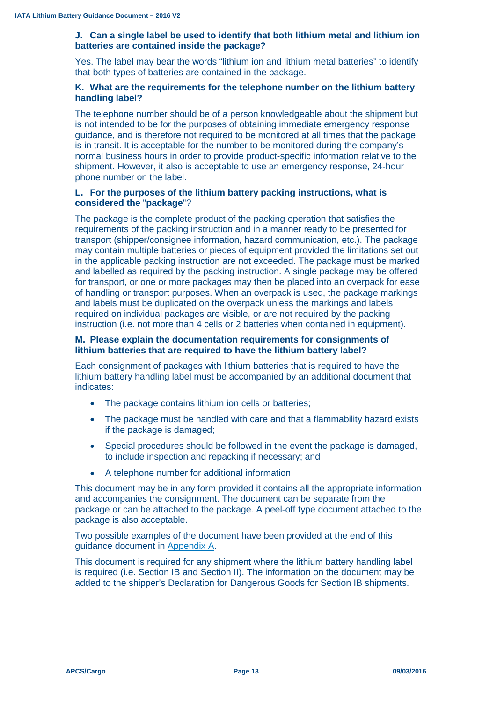## **J. Can a single label be used to identify that both lithium metal and lithium ion batteries are contained inside the package?**

Yes. The label may bear the words "lithium ion and lithium metal batteries" to identify that both types of batteries are contained in the package.

#### **K. What are the requirements for the telephone number on the lithium battery handling label?**

The telephone number should be of a person knowledgeable about the shipment but is not intended to be for the purposes of obtaining immediate emergency response guidance, and is therefore not required to be monitored at all times that the package is in transit. It is acceptable for the number to be monitored during the company's normal business hours in order to provide product-specific information relative to the shipment. However, it also is acceptable to use an emergency response, 24-hour phone number on the label.

#### **L. For the purposes of the lithium battery packing instructions, what is considered the** "**package**"?

The package is the complete product of the packing operation that satisfies the requirements of the packing instruction and in a manner ready to be presented for transport (shipper/consignee information, hazard communication, etc.). The package may contain multiple batteries or pieces of equipment provided the limitations set out in the applicable packing instruction are not exceeded. The package must be marked and labelled as required by the packing instruction. A single package may be offered for transport, or one or more packages may then be placed into an overpack for ease of handling or transport purposes. When an overpack is used, the package markings and labels must be duplicated on the overpack unless the markings and labels required on individual packages are visible, or are not required by the packing instruction (i.e. not more than 4 cells or 2 batteries when contained in equipment).

#### **M. Please explain the documentation requirements for consignments of lithium batteries that are required to have the lithium battery label?**

Each consignment of packages with lithium batteries that is required to have the lithium battery handling label must be accompanied by an additional document that indicates:

- The package contains lithium ion cells or batteries;
- The package must be handled with care and that a flammability hazard exists if the package is damaged;
- Special procedures should be followed in the event the package is damaged, to include inspection and repacking if necessary; and
- A telephone number for additional information.

This document may be in any form provided it contains all the appropriate information and accompanies the consignment. The document can be separate from the package or can be attached to the package. A peel-off type document attached to the package is also acceptable.

Two possible examples of the document have been provided at the end of this guidance document in Appendix A.

This document is required for any shipment where the lithium battery handling label is required (i.e. Section IB and Section II). The information on the document may be added to the shipper's Declaration for Dangerous Goods for Section IB shipments.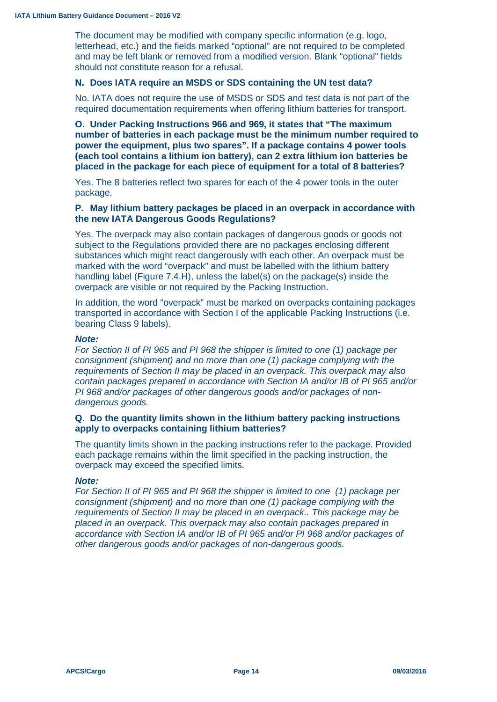The document may be modified with company specific information (e.g. logo, letterhead, etc.) and the fields marked "optional" are not required to be completed and may be left blank or removed from a modified version. Blank "optional" fields should not constitute reason for a refusal.

#### **N. Does IATA require an MSDS or SDS containing the UN test data?**

No. IATA does not require the use of MSDS or SDS and test data is not part of the required documentation requirements when offering lithium batteries for transport.

**O. Under Packing Instructions 966 and 969, it states that "The maximum number of batteries in each package must be the minimum number required to power the equipment, plus two spares". If a package contains 4 power tools (each tool contains a lithium ion battery), can 2 extra lithium ion batteries be placed in the package for each piece of equipment for a total of 8 batteries?**

Yes. The 8 batteries reflect two spares for each of the 4 power tools in the outer package.

#### **P. May lithium battery packages be placed in an overpack in accordance with the new IATA Dangerous Goods Regulations?**

Yes. The overpack may also contain packages of dangerous goods or goods not subject to the Regulations provided there are no packages enclosing different substances which might react dangerously with each other. An overpack must be marked with the word "overpack" and must be labelled with the lithium battery handling label (Figure 7.4.H), unless the label(s) on the package(s) inside the overpack are visible or not required by the Packing Instruction.

In addition, the word "overpack" must be marked on overpacks containing packages transported in accordance with Section I of the applicable Packing Instructions (i.e. bearing Class 9 labels).

#### *Note:*

*For Section II of PI 965 and PI 968 the shipper is limited to one (1) package per consignment (shipment) and no more than one (1) package complying with the requirements of Section II may be placed in an overpack. This overpack may also contain packages prepared in accordance with Section IA and/or IB of PI 965 and/or PI 968 and/or packages of other dangerous goods and/or packages of nondangerous goods.*

#### **Q. Do the quantity limits shown in the lithium battery packing instructions apply to overpacks containing lithium batteries?**

The quantity limits shown in the packing instructions refer to the package. Provided each package remains within the limit specified in the packing instruction, the overpack may exceed the specified limits.

#### *Note:*

*For Section II of PI 965 and PI 968 the shipper is limited to one (1) package per consignment (shipment) and no more than one (1) package complying with the requirements of Section II may be placed in an overpack.. This package may be placed in an overpack. This overpack may also contain packages prepared in accordance with Section IA and/or IB of PI 965 and/or PI 968 and/or packages of other dangerous goods and/or packages of non-dangerous goods.*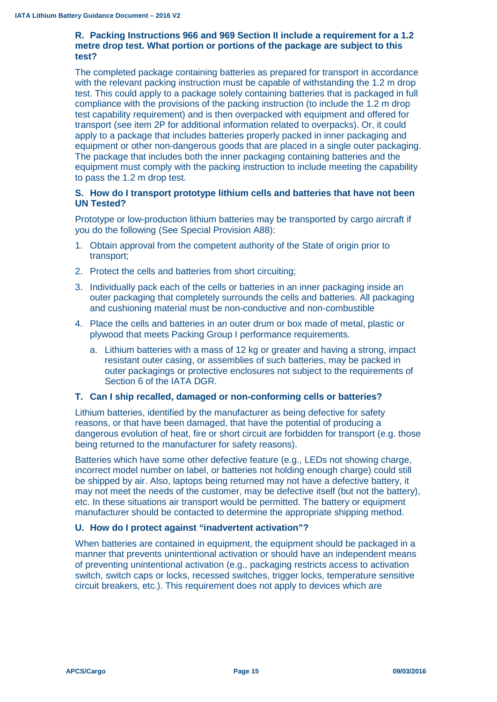#### **R. Packing Instructions 966 and 969 Section II include a requirement for a 1.2 metre drop test. What portion or portions of the package are subject to this test?**

The completed package containing batteries as prepared for transport in accordance with the relevant packing instruction must be capable of withstanding the 1.2 m drop test. This could apply to a package solely containing batteries that is packaged in full compliance with the provisions of the packing instruction (to include the 1.2 m drop test capability requirement) and is then overpacked with equipment and offered for transport (see item 2P for additional information related to overpacks). Or, it could apply to a package that includes batteries properly packed in inner packaging and equipment or other non-dangerous goods that are placed in a single outer packaging. The package that includes both the inner packaging containing batteries and the equipment must comply with the packing instruction to include meeting the capability to pass the 1.2 m drop test.

#### **S. How do I transport prototype lithium cells and batteries that have not been UN Tested?**

Prototype or low-production lithium batteries may be transported by cargo aircraft if you do the following (See Special Provision A88):

- 1. Obtain approval from the competent authority of the State of origin prior to transport;
- 2. Protect the cells and batteries from short circuiting;
- 3. Individually pack each of the cells or batteries in an inner packaging inside an outer packaging that completely surrounds the cells and batteries. All packaging and cushioning material must be non-conductive and non-combustible
- 4. Place the cells and batteries in an outer drum or box made of metal, plastic or plywood that meets Packing Group I performance requirements.
	- a. Lithium batteries with a mass of 12 kg or greater and having a strong, impact resistant outer casing, or assemblies of such batteries, may be packed in outer packagings or protective enclosures not subject to the requirements of Section 6 of the IATA DGR.

# **T. Can I ship recalled, damaged or non-conforming cells or batteries?**

Lithium batteries, identified by the manufacturer as being defective for safety reasons, or that have been damaged, that have the potential of producing a dangerous evolution of heat, fire or short circuit are forbidden for transport (e.g. those being returned to the manufacturer for safety reasons).

Batteries which have some other defective feature (e.g., LEDs not showing charge, incorrect model number on label, or batteries not holding enough charge) could still be shipped by air. Also, laptops being returned may not have a defective battery, it may not meet the needs of the customer, may be defective itself (but not the battery), etc. In these situations air transport would be permitted. The battery or equipment manufacturer should be contacted to determine the appropriate shipping method.

#### **U. How do I protect against "inadvertent activation"?**

When batteries are contained in equipment, the equipment should be packaged in a manner that prevents unintentional activation or should have an independent means of preventing unintentional activation (e.g., packaging restricts access to activation switch, switch caps or locks, recessed switches, trigger locks, temperature sensitive circuit breakers, etc.). This requirement does not apply to devices which are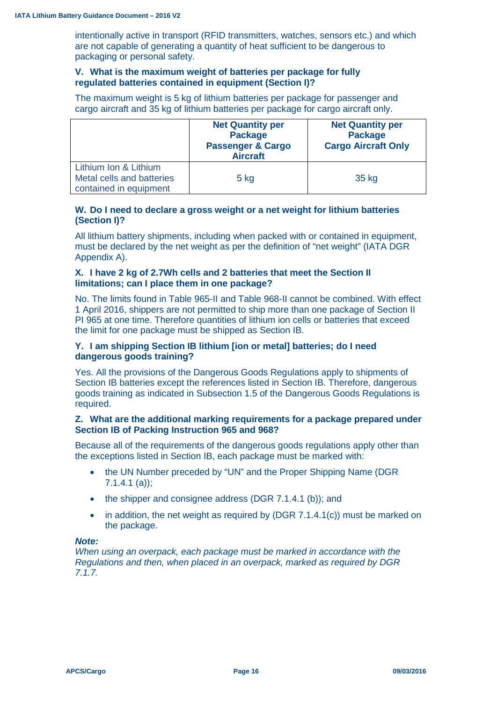intentionally active in transport (RFID transmitters, watches, sensors etc.) and which are not capable of generating a quantity of heat sufficient to be dangerous to packaging or personal safety.

#### **V. What is the maximum weight of batteries per package for fully regulated batteries contained in equipment (Section I)?**

The maximum weight is 5 kg of lithium batteries per package for passenger and cargo aircraft and 35 kg of lithium batteries per package for cargo aircraft only.

|                                                                              | <b>Net Quantity per</b><br><b>Package</b><br><b>Passenger &amp; Cargo</b><br><b>Aircraft</b> | <b>Net Quantity per</b><br><b>Package</b><br><b>Cargo Aircraft Only</b> |
|------------------------------------------------------------------------------|----------------------------------------------------------------------------------------------|-------------------------------------------------------------------------|
| Lithium Ion & Lithium<br>Metal cells and batteries<br>contained in equipment | $5$ kg                                                                                       | 35 kg                                                                   |

#### **W. Do I need to declare a gross weight or a net weight for lithium batteries (Section I)?**

All lithium battery shipments, including when packed with or contained in equipment, must be declared by the net weight as per the definition of "net weight" (IATA DGR Appendix A).

#### **X. I have 2 kg of 2.7Wh cells and 2 batteries that meet the Section II limitations; can I place them in one package?**

No. The limits found in Table 965-II and Table 968-II cannot be combined. With effect 1 April 2016, shippers are not permitted to ship more than one package of Section II PI 965 at one time. Therefore quantities of lithium ion cells or batteries that exceed the limit for one package must be shipped as Section IB.

#### **Y. I am shipping Section IB lithium [ion or metal] batteries; do I need dangerous goods training?**

Yes. All the provisions of the Dangerous Goods Regulations apply to shipments of Section IB batteries except the references listed in Section IB. Therefore, dangerous goods training as indicated in Subsection 1.5 of the Dangerous Goods Regulations is required.

## **Z. What are the additional marking requirements for a package prepared under Section IB of Packing Instruction 965 and 968?**

Because all of the requirements of the dangerous goods regulations apply other than the exceptions listed in Section IB, each package must be marked with:

- the UN Number preceded by "UN" and the Proper Shipping Name (DGR 7.1.4.1 (a));
- the shipper and consignee address (DGR 7.1.4.1 (b)); and
- in addition, the net weight as required by (DGR 7.1.4.1(c)) must be marked on the package.

#### *Note:*

*When using an overpack, each package must be marked in accordance with the Regulations and then, when placed in an overpack, marked as required by DGR 7.1.7.*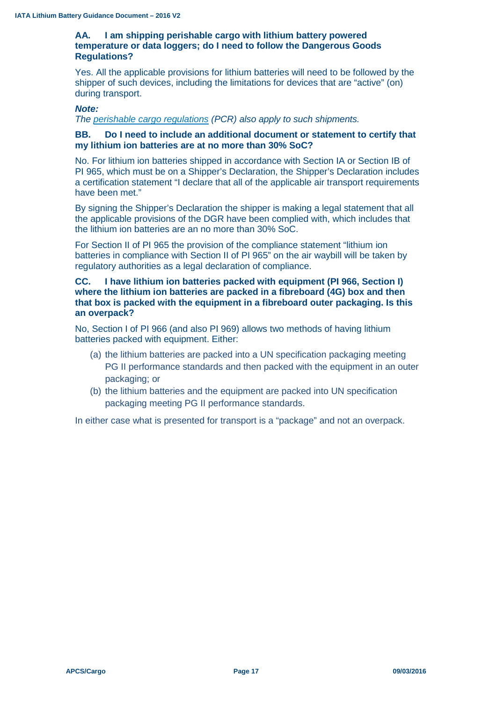#### **AA. I am shipping perishable cargo with lithium battery powered temperature or data loggers; do I need to follow the Dangerous Goods Regulations?**

Yes. All the applicable provisions for lithium batteries will need to be followed by the shipper of such devices, including the limitations for devices that are "active" (on) during transport.

#### *Note:*

*The [perishable cargo regulations](http://www.iata.org/pcr) (PCR) also apply to such shipments.*

#### **BB. Do I need to include an additional document or statement to certify that my lithium ion batteries are at no more than 30% SoC?**

No. For lithium ion batteries shipped in accordance with Section IA or Section IB of PI 965, which must be on a Shipper's Declaration, the Shipper's Declaration includes a certification statement "I declare that all of the applicable air transport requirements have been met."

By signing the Shipper's Declaration the shipper is making a legal statement that all the applicable provisions of the DGR have been complied with, which includes that the lithium ion batteries are an no more than 30% SoC.

For Section II of PI 965 the provision of the compliance statement "lithium ion batteries in compliance with Section II of PI 965" on the air waybill will be taken by regulatory authorities as a legal declaration of compliance.

#### **CC. I have lithium ion batteries packed with equipment (PI 966, Section I) where the lithium ion batteries are packed in a fibreboard (4G) box and then that box is packed with the equipment in a fibreboard outer packaging. Is this an overpack?**

No, Section I of PI 966 (and also PI 969) allows two methods of having lithium batteries packed with equipment. Either:

- (a) the lithium batteries are packed into a UN specification packaging meeting PG II performance standards and then packed with the equipment in an outer packaging; or
- (b) the lithium batteries and the equipment are packed into UN specification packaging meeting PG II performance standards.

In either case what is presented for transport is a "package" and not an overpack.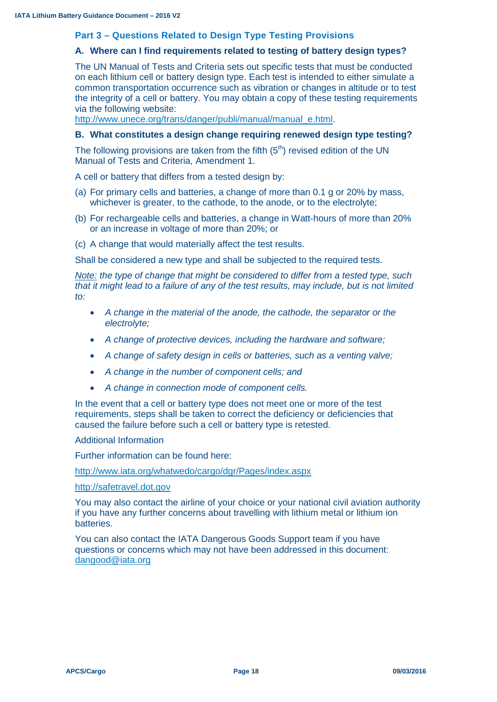#### **Part 3 – Questions Related to Design Type Testing Provisions**

#### **A. Where can I find requirements related to testing of battery design types?**

The UN Manual of Tests and Criteria sets out specific tests that must be conducted on each lithium cell or battery design type. Each test is intended to either simulate a common transportation occurrence such as vibration or changes in altitude or to test the integrity of a cell or battery. You may obtain a copy of these testing requirements via the following website:

[http://www.unece.org/trans/danger/publi/manual/manual\\_e.html.](http://www.unece.org/trans/danger/publi/manual/manual_e.html)

#### **B. What constitutes a design change requiring renewed design type testing?**

The following provisions are taken from the fifth  $(5<sup>th</sup>)$  revised edition of the UN Manual of Tests and Criteria, Amendment 1.

A cell or battery that differs from a tested design by:

- (a) For primary cells and batteries, a change of more than 0.1 g or 20% by mass, whichever is greater, to the cathode, to the anode, or to the electrolyte;
- (b) For rechargeable cells and batteries, a change in Watt-hours of more than 20% or an increase in voltage of more than 20%; or
- (c) A change that would materially affect the test results.

Shall be considered a new type and shall be subjected to the required tests.

*Note: the type of change that might be considered to differ from a tested type, such that it might lead to a failure of any of the test results, may include, but is not limited to:*

- *A change in the material of the anode, the cathode, the separator or the electrolyte;*
- *A change of protective devices, including the hardware and software;*
- *A change of safety design in cells or batteries, such as a venting valve;*
- *A change in the number of component cells; and*
- *A change in connection mode of component cells.*

In the event that a cell or battery type does not meet one or more of the test requirements, steps shall be taken to correct the deficiency or deficiencies that caused the failure before such a cell or battery type is retested.

Additional Information

Further information can be found here:

<http://www.iata.org/whatwedo/cargo/dgr/Pages/index.aspx>

[http://safetravel.dot.gov](http://safetravel.dot.gov/)

You may also contact the airline of your choice or your national civil aviation authority if you have any further concerns about travelling with lithium metal or lithium ion batteries.

You can also contact the IATA Dangerous Goods Support team if you have questions or concerns which may not have been addressed in this document: [dangood@iata.org](mailto:dangood@iata.org)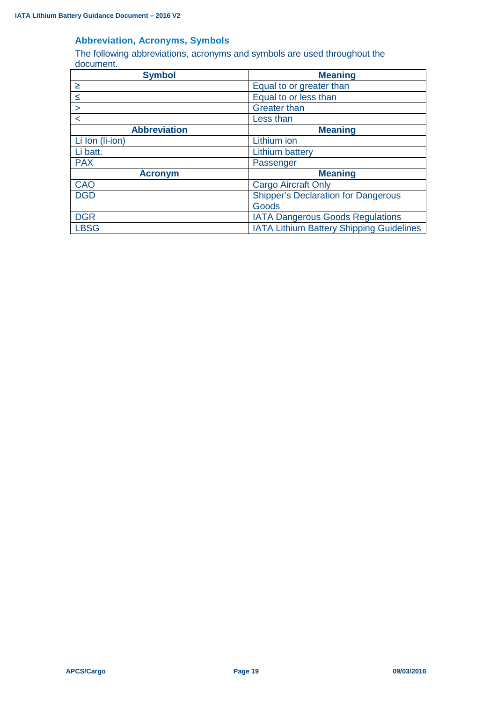# **Abbreviation, Acronyms, Symbols**

The following abbreviations, acronyms and symbols are used throughout the document.

| <b>Symbol</b>       | <b>Meaning</b>                             |  |
|---------------------|--------------------------------------------|--|
| $\geq$              | Equal to or greater than                   |  |
| $\leq$              | Equal to or less than                      |  |
| $\geq$              | <b>Greater than</b>                        |  |
| $\lt$               | Less than                                  |  |
| <b>Abbreviation</b> | <b>Meaning</b>                             |  |
| Li Ion (Ii-ion)     | Lithium ion                                |  |
| Li batt.            | Lithium battery                            |  |
| <b>PAX</b>          | Passenger                                  |  |
| <b>Acronym</b>      | <b>Meaning</b>                             |  |
| <b>CAO</b>          | <b>Cargo Aircraft Only</b>                 |  |
| <b>DGD</b>          | <b>Shipper's Declaration for Dangerous</b> |  |
|                     | Goods                                      |  |
| <b>DGR</b>          | <b>IATA Dangerous Goods Regulations</b>    |  |
| <b>LBSG</b>         | IATA Lithium Battery Shipping Guidelines   |  |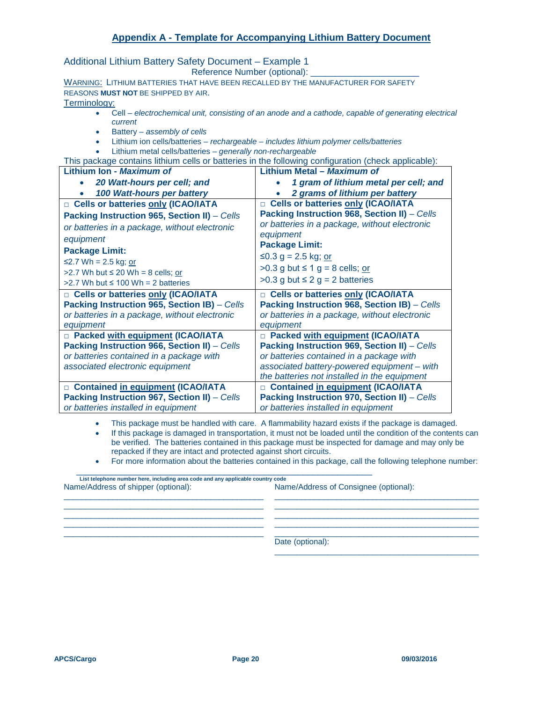Additional Lithium Battery Safety Document – Example 1

Reference Number (optional):

WARNING: LITHIUM BATTERIES THAT HAVE BEEN RECALLED BY THE MANUFACTURER FOR SAFETY REASONS **MUST NOT** BE SHIPPED BY AIR.

Terminology:

- Cell *electrochemical unit, consisting of an anode and a cathode, capable of generating electrical current*
- Battery *assembly of cells*
- Lithium ion cells/batteries *rechargeable – includes lithium polymer cells/batteries*
- Lithium metal cells/batteries *generally non-rechargeable*

This package contains lithium cells or batteries in the following configuration (check applicable):

| Lithium Ion - Maximum of                                                            | Lithium Metal - Maximum of                                                          |
|-------------------------------------------------------------------------------------|-------------------------------------------------------------------------------------|
| 20 Watt-hours per cell; and                                                         | 1 gram of lithium metal per cell; and                                               |
| 100 Watt-hours per battery                                                          | 2 grams of lithium per battery                                                      |
| <b>D</b> Cells or batteries only (ICAO/IATA                                         | □ Cells or batteries only (ICAO/IATA                                                |
| Packing Instruction 965, Section II) - Cells                                        | Packing Instruction 968, Section II) - Cells                                        |
| or batteries in a package, without electronic                                       | or batteries in a package, without electronic                                       |
| equipment                                                                           | equipment                                                                           |
| <b>Package Limit:</b>                                                               | <b>Package Limit:</b>                                                               |
| ≤2.7 Wh = 2.5 kg; or                                                                | ≤0.3 g = 2.5 kg; or                                                                 |
| >2.7 Wh but $\leq$ 20 Wh = 8 cells; or                                              | $>0.3$ g but $\leq 1$ g = 8 cells; or                                               |
| $>2.7$ Wh but $\leq 100$ Wh = 2 batteries                                           | $>0.3$ g but $\leq 2$ g = 2 batteries                                               |
|                                                                                     |                                                                                     |
| □ Cells or batteries only (ICAO/IATA                                                | <b>D</b> Cells or batteries only (ICAO/IATA                                         |
| Packing Instruction 965, Section IB) - Cells                                        | Packing Instruction 968, Section IB) - Cells                                        |
| or batteries in a package, without electronic                                       | or batteries in a package, without electronic                                       |
| equipment                                                                           | equipment                                                                           |
| D Packed with equipment (ICAO/IATA                                                  | <b>D</b> Packed with equipment (ICAO/IATA                                           |
| Packing Instruction 966, Section II) - Cells                                        | Packing Instruction 969, Section II) - Cells                                        |
| or batteries contained in a package with                                            | or batteries contained in a package with                                            |
| associated electronic equipment                                                     | associated battery-powered equipment - with                                         |
|                                                                                     | the batteries not installed in the equipment                                        |
| □ Contained in equipment (ICAO/IATA                                                 | □ Contained in equipment (ICAO/IATA                                                 |
| Packing Instruction 967, Section II) - Cells<br>or batteries installed in equipment | Packing Instruction 970, Section II) - Cells<br>or batteries installed in equipment |

• This package must be handled with care. A flammability hazard exists if the package is damaged.

 $\_$  ,  $\_$  ,  $\_$  ,  $\_$  ,  $\_$  ,  $\_$  ,  $\_$  ,  $\_$  ,  $\_$  ,  $\_$  ,  $\_$  ,  $\_$  ,  $\_$  ,  $\_$  ,  $\_$  ,  $\_$  ,  $\_$  ,  $\_$  ,  $\_$  ,  $\_$  ,  $\_$  ,  $\_$  ,  $\_$  ,  $\_$  ,  $\_$  ,  $\_$  ,  $\_$  ,  $\_$  ,  $\_$  ,  $\_$  ,  $\_$  ,  $\_$  ,  $\_$  ,  $\_$  ,  $\_$  ,  $\_$  ,  $\_$  ,  $\_$  ,  $\_$  ,  $\_$  ,  $\_$  ,  $\_$  ,  $\_$  ,  $\_$  ,  $\_$  ,  $\_$  ,  $\_$  ,  $\_$  ,  $\_$  ,  $\_$  ,  $\_$  ,  $\_$  ,  $\_$  ,  $\_$  ,  $\_$  ,  $\_$  ,  $\_$  ,  $\_$  ,  $\_$  ,  $\_$  ,  $\_$  ,  $\_$  ,  $\_$  ,  $\_$  ,  $\_$  ,  $\_$  ,  $\_$  ,  $\_$  ,  $\_$  ,  $\_$  ,  $\_$  ,  $\_$  ,  $\_$  ,  $\_$  ,  $\_$  ,  $\_$  ,  $\_$  ,  $\_$  ,  $\_$  ,  $\_$  ,  $\_$  ,  $\_$  ,  $\_$  ,  $\_$  ,  $\_$  ,  $\_$  ,  $\_$  ,  $\_$  ,  $\_$  ,  $\_$  ,  $\_$  ,  $\_$  ,  $\_$  ,  $\_$  ,  $\_$  ,  $\_$  ,  $\_$  ,  $\_$  ,  $\_$  ,  $\_$  ,  $\_$  ,  $\_$  ,  $\_$  ,  $\_$  ,  $\_$  ,  $\_$  ,  $\_$  ,  $\_$  ,  $\_$  ,  $\_$  ,  $\_$  ,

- If this package is damaged in transportation, it must not be loaded until the condition of the contents can be verified. The batteries contained in this package must be inspected for damage and may only be repacked if they are intact and protected against short circuits.
- For more information about the batteries contained in this package, call the following telephone number:

| List telephone number here, including area code and any applicable country code |                                       |
|---------------------------------------------------------------------------------|---------------------------------------|
| Name/Address of shipper (optional):                                             | Name/Address of Consignee (optional): |

 $\_$  ,  $\_$  ,  $\_$  ,  $\_$  ,  $\_$  ,  $\_$  ,  $\_$  ,  $\_$  ,  $\_$  ,  $\_$  ,  $\_$  ,  $\_$  ,  $\_$  ,  $\_$  ,  $\_$  ,  $\_$  ,  $\_$  ,  $\_$  ,  $\_$  ,  $\_$  ,  $\_$  ,  $\_$  ,  $\_$  ,  $\_$  ,  $\_$  ,  $\_$  ,  $\_$  ,  $\_$  ,  $\_$  ,  $\_$  ,  $\_$  ,  $\_$  ,  $\_$  ,  $\_$  ,  $\_$  ,  $\_$  ,  $\_$  , Date (optional):

\_\_\_\_\_\_\_\_\_\_\_\_\_\_\_\_\_\_\_\_\_\_\_\_\_\_\_\_\_\_\_\_\_\_\_\_\_\_\_\_\_\_\_\_\_\_